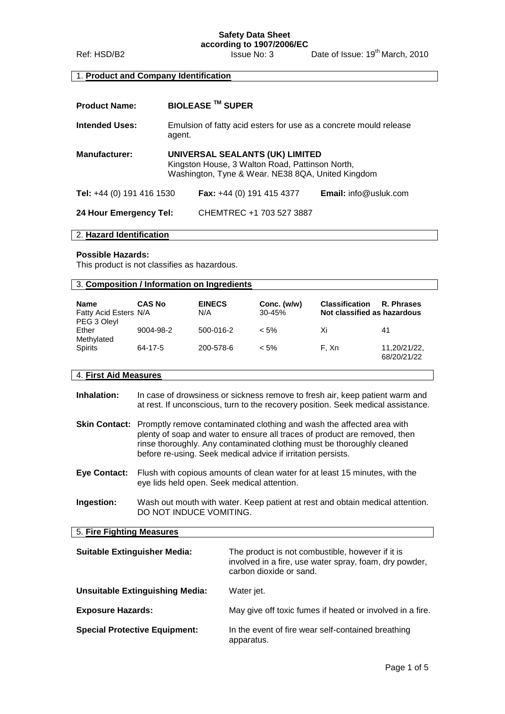**Safety Data Sheet**

**according to 1907/2006/EC** Ref: HSD/B2 Issue No: 3 Date of Issue: 19<sup>th</sup> March, 2010

# 1. **Product and Company Identification**

| <b>Product Name:</b>      | <b>BIOLEASE ™ SUPER</b>                                                                                                                 |                           |                              |
|---------------------------|-----------------------------------------------------------------------------------------------------------------------------------------|---------------------------|------------------------------|
| <b>Intended Uses:</b>     | Emulsion of fatty acid esters for use as a concrete mould release<br>agent.                                                             |                           |                              |
| <b>Manufacturer:</b>      | UNIVERSAL SEALANTS (UK) LIMITED<br>Kingston House, 3 Walton Road, Pattinson North,<br>Washington, Tyne & Wear. NE38 8QA, United Kingdom |                           |                              |
| Tel: +44 (0) 191 416 1530 |                                                                                                                                         | Fax: +44 (0) 191 415 4377 | <b>Email:</b> info@usluk.com |
| 24 Hour Emergency Tel:    |                                                                                                                                         | CHEMTREC +1 703 527 3887  |                              |

#### 2. **Hazard Identification**

### **Possible Hazards:**

This product is not classifies as hazardous.

|                                      | 3. Composition / Information on Ingredients |                      |                           |                                                      |                             |
|--------------------------------------|---------------------------------------------|----------------------|---------------------------|------------------------------------------------------|-----------------------------|
| <b>Name</b><br>Fatty Acid Esters N/A | <b>CAS No</b>                               | <b>EINECS</b><br>N/A | Conc. (w/w)<br>$30 - 45%$ | <b>Classification</b><br>Not classified as hazardous | R. Phrases                  |
| PEG 3 Oleyl<br>Ether<br>Methylated   | 9004-98-2                                   | 500-016-2            | $< 5\%$                   | Xi                                                   | 41                          |
| <b>Spirits</b>                       | 64-17-5                                     | 200-578-6            | $< 5\%$                   | F. Xn                                                | 11,20/21/22,<br>68/20/21/22 |

# 4. **First Aid Measures**

| Inhalation: | In case of drowsiness or sickness remove to fresh air, keep patient warm and     |
|-------------|----------------------------------------------------------------------------------|
|             | at rest. If unconscious, turn to the recovery position. Seek medical assistance. |

- **Skin Contact:** Promptly remove contaminated clothing and wash the affected area with plenty of soap and water to ensure all traces of product are removed, then rinse thoroughly. Any contaminated clothing must be thoroughly cleaned before re-using. Seek medical advice if irritation persists.
- **Eye Contact:** Flush with copious amounts of clean water for at least 15 minutes, with the eye lids held open. Seek medical attention.
- **Ingestion:** Wash out mouth with water. Keep patient at rest and obtain medical attention. DO NOT INDUCE VOMITING.

#### 5. **Fire Fighting Measures**

| <b>Suitable Extinguisher Media:</b>    | The product is not combustible, however if it is<br>involved in a fire, use water spray, foam, dry powder,<br>carbon dioxide or sand. |
|----------------------------------------|---------------------------------------------------------------------------------------------------------------------------------------|
| <b>Unsuitable Extinguishing Media:</b> | Water jet.                                                                                                                            |
| <b>Exposure Hazards:</b>               | May give off toxic fumes if heated or involved in a fire.                                                                             |
| <b>Special Protective Equipment:</b>   | In the event of fire wear self-contained breathing<br>apparatus.                                                                      |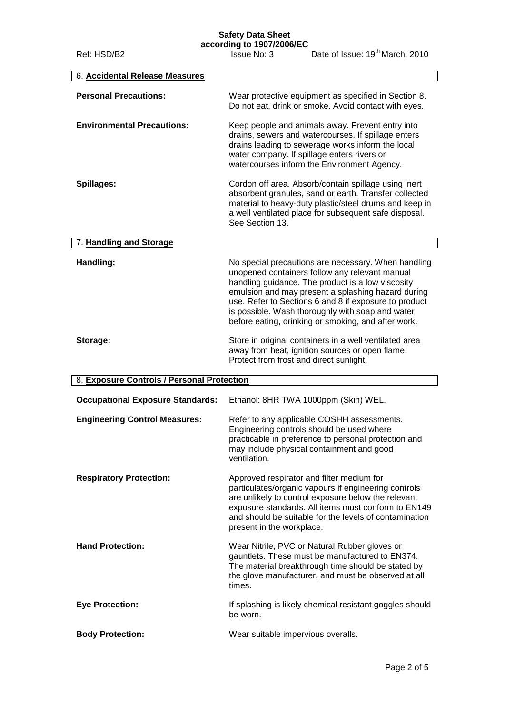# **Safety Data Sheet**

**according to 1907/2006/EC**

Ref: HSD/B2 **Issue No: 3** Date of Issue: 19<sup>th</sup> March, 2010

| 6. Accidental Release Measures             |                                                                                                                                                                                                                                                                                                                                                                                      |
|--------------------------------------------|--------------------------------------------------------------------------------------------------------------------------------------------------------------------------------------------------------------------------------------------------------------------------------------------------------------------------------------------------------------------------------------|
|                                            |                                                                                                                                                                                                                                                                                                                                                                                      |
| <b>Personal Precautions:</b>               | Wear protective equipment as specified in Section 8.<br>Do not eat, drink or smoke. Avoid contact with eyes.                                                                                                                                                                                                                                                                         |
| <b>Environmental Precautions:</b>          | Keep people and animals away. Prevent entry into<br>drains, sewers and watercourses. If spillage enters<br>drains leading to sewerage works inform the local<br>water company. If spillage enters rivers or<br>watercourses inform the Environment Agency.                                                                                                                           |
| Spillages:                                 | Cordon off area. Absorb/contain spillage using inert<br>absorbent granules, sand or earth. Transfer collected<br>material to heavy-duty plastic/steel drums and keep in<br>a well ventilated place for subsequent safe disposal.<br>See Section 13.                                                                                                                                  |
| 7. Handling and Storage                    |                                                                                                                                                                                                                                                                                                                                                                                      |
| Handling:                                  | No special precautions are necessary. When handling<br>unopened containers follow any relevant manual<br>handling guidance. The product is a low viscosity<br>emulsion and may present a splashing hazard during<br>use. Refer to Sections 6 and 8 if exposure to product<br>is possible. Wash thoroughly with soap and water<br>before eating, drinking or smoking, and after work. |
| Storage:                                   | Store in original containers in a well ventilated area<br>away from heat, ignition sources or open flame.<br>Protect from frost and direct sunlight.                                                                                                                                                                                                                                 |
| 8. Exposure Controls / Personal Protection |                                                                                                                                                                                                                                                                                                                                                                                      |
| <b>Occupational Exposure Standards:</b>    | Ethanol: 8HR TWA 1000ppm (Skin) WEL.                                                                                                                                                                                                                                                                                                                                                 |
| <b>Engineering Control Measures:</b>       | Refer to any applicable COSHH assessments.<br>Engineering controls should be used where<br>practicable in preference to personal protection and<br>may include physical containment and good<br>ventilation.                                                                                                                                                                         |
| <b>Respiratory Protection:</b>             | Approved respirator and filter medium for<br>particulates/organic vapours if engineering controls<br>are unlikely to control exposure below the relevant<br>exposure standards. All items must conform to EN149<br>and should be suitable for the levels of contamination<br>present in the workplace.                                                                               |
| <b>Hand Protection:</b>                    | Wear Nitrile, PVC or Natural Rubber gloves or<br>gauntlets. These must be manufactured to EN374.<br>The material breakthrough time should be stated by<br>the glove manufacturer, and must be observed at all<br>times.                                                                                                                                                              |
| <b>Eye Protection:</b>                     | If splashing is likely chemical resistant goggles should<br>be worn.                                                                                                                                                                                                                                                                                                                 |
| <b>Body Protection:</b>                    | Wear suitable impervious overalls.                                                                                                                                                                                                                                                                                                                                                   |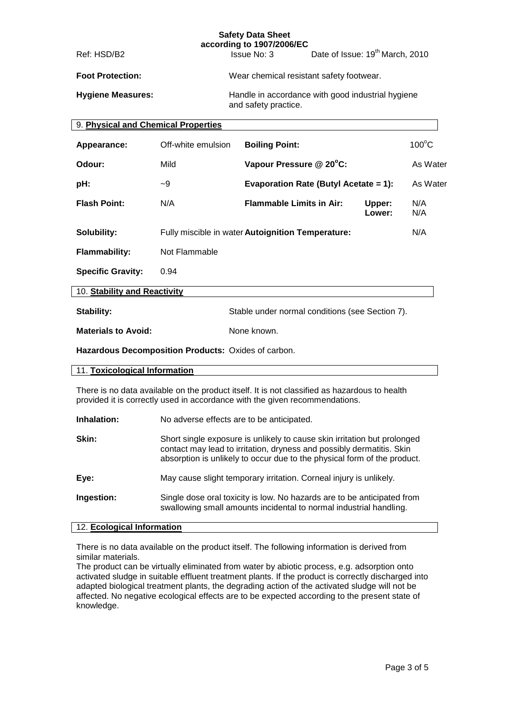| <b>Safety Data Sheet</b><br>according to 1907/2006/EC |                                                                                                                                                                              |  |                                                                           |                                             |                  |                 |
|-------------------------------------------------------|------------------------------------------------------------------------------------------------------------------------------------------------------------------------------|--|---------------------------------------------------------------------------|---------------------------------------------|------------------|-----------------|
| Ref: HSD/B2                                           |                                                                                                                                                                              |  | Issue No: 3                                                               | Date of Issue: 19 <sup>th</sup> March, 2010 |                  |                 |
| <b>Foot Protection:</b>                               |                                                                                                                                                                              |  | Wear chemical resistant safety footwear.                                  |                                             |                  |                 |
| <b>Hygiene Measures:</b>                              |                                                                                                                                                                              |  | Handle in accordance with good industrial hygiene<br>and safety practice. |                                             |                  |                 |
| 9. Physical and Chemical Properties                   |                                                                                                                                                                              |  |                                                                           |                                             |                  |                 |
| Appearance:                                           | Off-white emulsion                                                                                                                                                           |  | <b>Boiling Point:</b>                                                     |                                             |                  | $100^{\circ}$ C |
| Odour:                                                | Mild                                                                                                                                                                         |  | Vapour Pressure @ 20°C:                                                   |                                             |                  | As Water        |
| pH:                                                   | -9                                                                                                                                                                           |  | Evaporation Rate (Butyl Acetate = 1):                                     |                                             |                  | As Water        |
| <b>Flash Point:</b>                                   | N/A                                                                                                                                                                          |  | <b>Flammable Limits in Air:</b>                                           |                                             | Upper:<br>Lower: | N/A<br>N/A      |
| Solubility:                                           |                                                                                                                                                                              |  | Fully miscible in water Autoignition Temperature:                         |                                             |                  | N/A             |
| <b>Flammability:</b>                                  | Not Flammable                                                                                                                                                                |  |                                                                           |                                             |                  |                 |
| <b>Specific Gravity:</b>                              | 0.94                                                                                                                                                                         |  |                                                                           |                                             |                  |                 |
| 10. Stability and Reactivity                          |                                                                                                                                                                              |  |                                                                           |                                             |                  |                 |
| Stability:                                            |                                                                                                                                                                              |  | Stable under normal conditions (see Section 7).                           |                                             |                  |                 |
| <b>Materials to Avoid:</b>                            |                                                                                                                                                                              |  | None known.                                                               |                                             |                  |                 |
| Hazardous Decomposition Products: Oxides of carbon.   |                                                                                                                                                                              |  |                                                                           |                                             |                  |                 |
| 11. Toxicological Information                         |                                                                                                                                                                              |  |                                                                           |                                             |                  |                 |
|                                                       | There is no data available on the product itself. It is not classified as hazardous to health<br>provided it is correctly used in accordance with the given recommendations. |  |                                                                           |                                             |                  |                 |
| Inhalation:                                           |                                                                                                                                                                              |  | No adverse effects are to be anticipated.                                 |                                             |                  |                 |

| Skin:      | Short single exposure is unlikely to cause skin irritation but prolonged<br>contact may lead to irritation, dryness and possibly dermatitis. Skin<br>absorption is unlikely to occur due to the physical form of the product. |
|------------|-------------------------------------------------------------------------------------------------------------------------------------------------------------------------------------------------------------------------------|
| Eye:       | May cause slight temporary irritation. Corneal injury is unlikely.                                                                                                                                                            |
| Ingestion: | Single dose oral toxicity is low. No hazards are to be anticipated from<br>swallowing small amounts incidental to normal industrial handling.                                                                                 |

# 12. **Ecological Information**

There is no data available on the product itself. The following information is derived from similar materials.

The product can be virtually eliminated from water by abiotic process, e.g. adsorption onto activated sludge in suitable effluent treatment plants. If the product is correctly discharged into adapted biological treatment plants, the degrading action of the activated sludge will not be affected. No negative ecological effects are to be expected according to the present state of knowledge.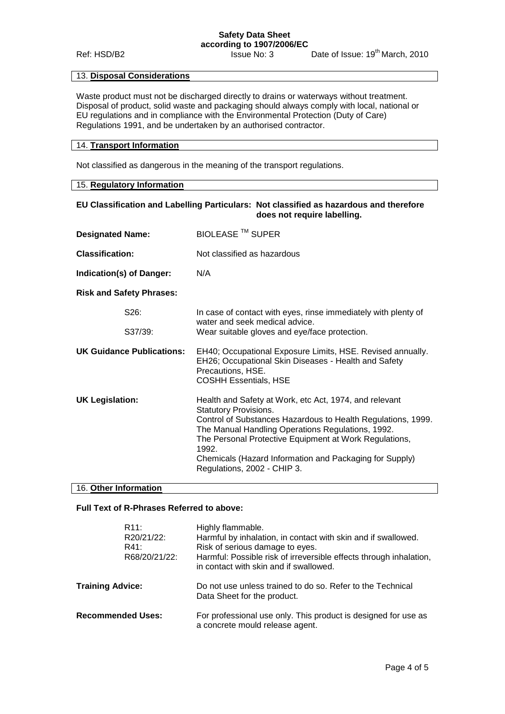# **Safety Data Sheet according to 1907/2006/EC**

Ref: HSD/B2 Issue No: 3 Date of Issue: 19<sup>th</sup> March, 2010

## 13. **Disposal Considerations**

Waste product must not be discharged directly to drains or waterways without treatment. Disposal of product, solid waste and packaging should always comply with local, national or EU regulations and in compliance with the Environmental Protection (Duty of Care) Regulations 1991, and be undertaken by an authorised contractor.

## 14. **Transport Information**

Not classified as dangerous in the meaning of the transport regulations.

| 15. Regulatory Information                                                                                            |                                                                                                                                                                                                                                                                                                                                                                          |  |
|-----------------------------------------------------------------------------------------------------------------------|--------------------------------------------------------------------------------------------------------------------------------------------------------------------------------------------------------------------------------------------------------------------------------------------------------------------------------------------------------------------------|--|
| EU Classification and Labelling Particulars: Not classified as hazardous and therefore<br>does not require labelling. |                                                                                                                                                                                                                                                                                                                                                                          |  |
| <b>Designated Name:</b>                                                                                               | <b>BIOLEASE ™ SUPER</b>                                                                                                                                                                                                                                                                                                                                                  |  |
| <b>Classification:</b>                                                                                                | Not classified as hazardous                                                                                                                                                                                                                                                                                                                                              |  |
| Indication(s) of Danger:                                                                                              | N/A                                                                                                                                                                                                                                                                                                                                                                      |  |
| <b>Risk and Safety Phrases:</b>                                                                                       |                                                                                                                                                                                                                                                                                                                                                                          |  |
| S26:                                                                                                                  | In case of contact with eyes, rinse immediately with plenty of<br>water and seek medical advice.                                                                                                                                                                                                                                                                         |  |
| S37/39:                                                                                                               | Wear suitable gloves and eye/face protection.                                                                                                                                                                                                                                                                                                                            |  |
| UK Guidance Publications:                                                                                             | EH40; Occupational Exposure Limits, HSE. Revised annually.<br>EH26; Occupational Skin Diseases - Health and Safety<br>Precautions, HSE.<br><b>COSHH Essentials, HSE</b>                                                                                                                                                                                                  |  |
| <b>UK Legislation:</b>                                                                                                | Health and Safety at Work, etc Act, 1974, and relevant<br><b>Statutory Provisions.</b><br>Control of Substances Hazardous to Health Regulations, 1999.<br>The Manual Handling Operations Regulations, 1992.<br>The Personal Protective Equipment at Work Regulations,<br>1992.<br>Chemicals (Hazard Information and Packaging for Supply)<br>Regulations, 2002 - CHIP 3. |  |

## 16. **Other Information**

# **Full Text of R-Phrases Referred to above:**

|                          | R11:<br>R20/21/22:<br>R41:<br>R68/20/21/22: | Highly flammable.<br>Harmful by inhalation, in contact with skin and if swallowed.<br>Risk of serious damage to eyes.<br>Harmful: Possible risk of irreversible effects through inhalation,<br>in contact with skin and if swallowed. |
|--------------------------|---------------------------------------------|---------------------------------------------------------------------------------------------------------------------------------------------------------------------------------------------------------------------------------------|
| <b>Training Advice:</b>  |                                             | Do not use unless trained to do so. Refer to the Technical<br>Data Sheet for the product.                                                                                                                                             |
| <b>Recommended Uses:</b> |                                             | For professional use only. This product is designed for use as<br>a concrete mould release agent.                                                                                                                                     |